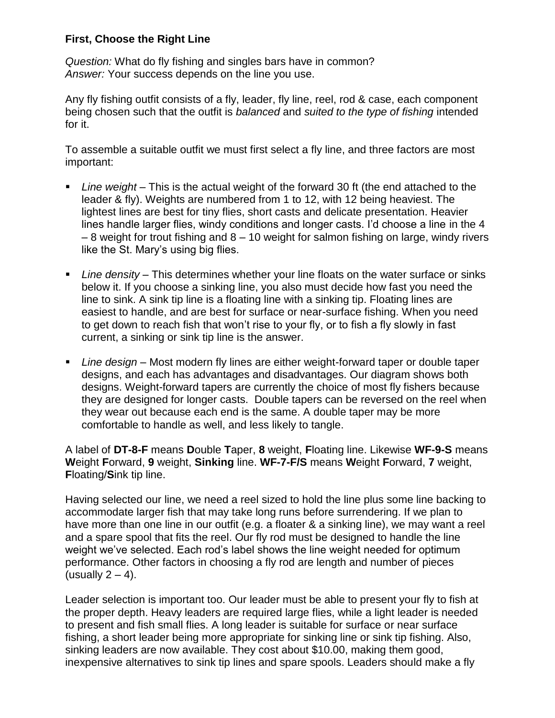## **First, Choose the Right Line**

*Question:* What do fly fishing and singles bars have in common? *Answer:* Your success depends on the line you use.

Any fly fishing outfit consists of a fly, leader, fly line, reel, rod & case, each component being chosen such that the outfit is *balanced* and *suited to the type of fishing* intended for it.

To assemble a suitable outfit we must first select a fly line, and three factors are most important:

- *Line weight* This is the actual weight of the forward 30 ft (the end attached to the leader & fly). Weights are numbered from 1 to 12, with 12 being heaviest. The lightest lines are best for tiny flies, short casts and delicate presentation. Heavier lines handle larger flies, windy conditions and longer casts. I'd choose a line in the 4 – 8 weight for trout fishing and 8 – 10 weight for salmon fishing on large, windy rivers like the St. Mary's using big flies.
- *Line density* This determines whether your line floats on the water surface or sinks below it. If you choose a sinking line, you also must decide how fast you need the line to sink. A sink tip line is a floating line with a sinking tip. Floating lines are easiest to handle, and are best for surface or near-surface fishing. When you need to get down to reach fish that won't rise to your fly, or to fish a fly slowly in fast current, a sinking or sink tip line is the answer.
- *Line design* Most modern fly lines are either weight-forward taper or double taper designs, and each has advantages and disadvantages. Our diagram shows both designs. Weight-forward tapers are currently the choice of most fly fishers because they are designed for longer casts. Double tapers can be reversed on the reel when they wear out because each end is the same. A double taper may be more comfortable to handle as well, and less likely to tangle.

A label of **DT-8-F** means **D**ouble **T**aper, **8** weight, **F**loating line. Likewise **WF-9-S** means **W**eight **F**orward, **9** weight, **Sinking** line. **WF-7-F/S** means **W**eight **F**orward, **7** weight, **F**loating/**S**ink tip line.

Having selected our line, we need a reel sized to hold the line plus some line backing to accommodate larger fish that may take long runs before surrendering. If we plan to have more than one line in our outfit (e.g. a floater & a sinking line), we may want a reel and a spare spool that fits the reel. Our fly rod must be designed to handle the line weight we've selected. Each rod's label shows the line weight needed for optimum performance. Other factors in choosing a fly rod are length and number of pieces (usually  $2 - 4$ ).

Leader selection is important too. Our leader must be able to present your fly to fish at the proper depth. Heavy leaders are required large flies, while a light leader is needed to present and fish small flies. A long leader is suitable for surface or near surface fishing, a short leader being more appropriate for sinking line or sink tip fishing. Also, sinking leaders are now available. They cost about \$10.00, making them good, inexpensive alternatives to sink tip lines and spare spools. Leaders should make a fly